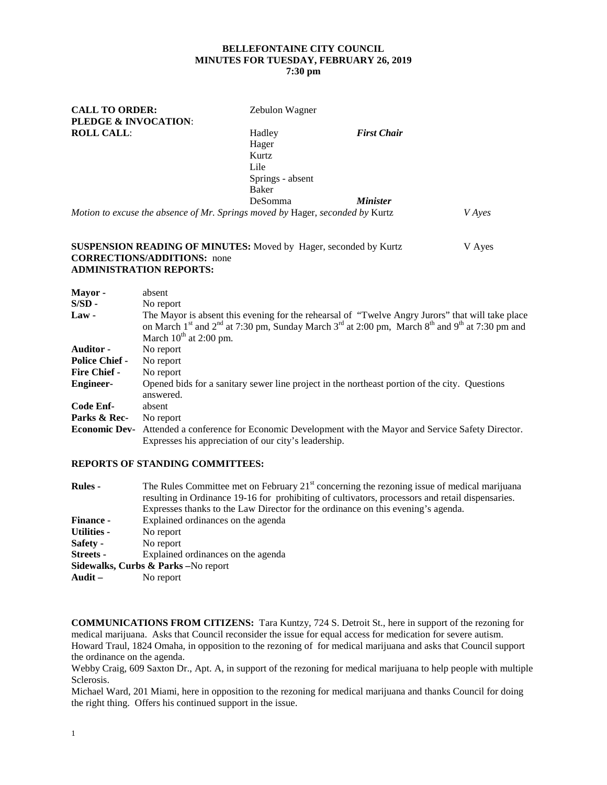## **BELLEFONTAINE CITY COUNCIL MINUTES FOR TUESDAY, FEBRUARY 26, 2019 7:30 pm**

| <b>CALL TO ORDER:</b>                                                         | Zebulon Wagner   |                        |               |
|-------------------------------------------------------------------------------|------------------|------------------------|---------------|
| PLEDGE & INVOCATION:                                                          |                  |                        |               |
| <b>ROLL CALL:</b>                                                             | Hadley           | <b>First Chair</b>     |               |
|                                                                               | Hager            |                        |               |
|                                                                               | Kurtz            |                        |               |
|                                                                               | Lile             |                        |               |
|                                                                               | Springs - absent |                        |               |
|                                                                               | Baker            |                        |               |
|                                                                               | <b>DeSomma</b>   | <i><b>Minister</b></i> |               |
| Motion to excuse the absence of Mr. Springs moved by Hager, seconded by Kurtz |                  |                        | <i>V</i> Ayes |

#### **SUSPENSION READING OF MINUTES:** Moved by Hager, seconded by Kurtz V Ayes **CORRECTIONS/ADDITIONS:** none **ADMINISTRATION REPORTS:**

| Mayor -               | absent                                                                                                                                                                                                                                                                                        |
|-----------------------|-----------------------------------------------------------------------------------------------------------------------------------------------------------------------------------------------------------------------------------------------------------------------------------------------|
| $S/SD -$              | No report                                                                                                                                                                                                                                                                                     |
| $Law -$               | The Mayor is absent this evening for the rehearsal of "Twelve Angry Jurors" that will take place<br>on March 1 <sup>st</sup> and 2 <sup>nd</sup> at 7:30 pm, Sunday March 3 <sup>rd</sup> at 2:00 pm, March 8 <sup>th</sup> and 9 <sup>th</sup> at 7:30 pm and<br>March $10^{th}$ at 2:00 pm. |
| <b>Auditor</b> -      | No report                                                                                                                                                                                                                                                                                     |
| <b>Police Chief -</b> | No report                                                                                                                                                                                                                                                                                     |
| <b>Fire Chief -</b>   | No report                                                                                                                                                                                                                                                                                     |
| <b>Engineer-</b>      | Opened bids for a sanitary sewer line project in the northeast portion of the city. Questions<br>answered.                                                                                                                                                                                    |
| Code Enf-             | absent                                                                                                                                                                                                                                                                                        |
| Parks & Rec-          | No report                                                                                                                                                                                                                                                                                     |
| <b>Economic Dev-</b>  | Attended a conference for Economic Development with the Mayor and Service Safety Director.<br>Expresses his appreciation of our city's leadership.                                                                                                                                            |

#### **REPORTS OF STANDING COMMITTEES:**

| <b>Rules</b> -                                             | The Rules Committee met on February $21st$ concerning the rezoning issue of medical marijuana<br>resulting in Ordinance 19-16 for prohibiting of cultivators, processors and retail dispensaries.<br>Expresses thanks to the Law Director for the ordinance on this evening's agenda. |
|------------------------------------------------------------|---------------------------------------------------------------------------------------------------------------------------------------------------------------------------------------------------------------------------------------------------------------------------------------|
| <b>Finance -</b>                                           | Explained ordinances on the agenda                                                                                                                                                                                                                                                    |
| Utilities -                                                | No report                                                                                                                                                                                                                                                                             |
| Safety -                                                   | No report                                                                                                                                                                                                                                                                             |
| <b>Streets</b> -                                           | Explained ordinances on the agenda                                                                                                                                                                                                                                                    |
|                                                            | Sidewalks, Curbs & Parks - No report                                                                                                                                                                                                                                                  |
| $\mathbf{A} \mathbf{u} \mathbf{d} \mathbf{i} \mathbf{t}$ – | No report                                                                                                                                                                                                                                                                             |
|                                                            |                                                                                                                                                                                                                                                                                       |

**COMMUNICATIONS FROM CITIZENS:** Tara Kuntzy, 724 S. Detroit St., here in support of the rezoning for medical marijuana. Asks that Council reconsider the issue for equal access for medication for severe autism. Howard Traul, 1824 Omaha, in opposition to the rezoning of for medical marijuana and asks that Council support the ordinance on the agenda.

Webby Craig, 609 Saxton Dr., Apt. A, in support of the rezoning for medical marijuana to help people with multiple Sclerosis.

Michael Ward, 201 Miami, here in opposition to the rezoning for medical marijuana and thanks Council for doing the right thing. Offers his continued support in the issue.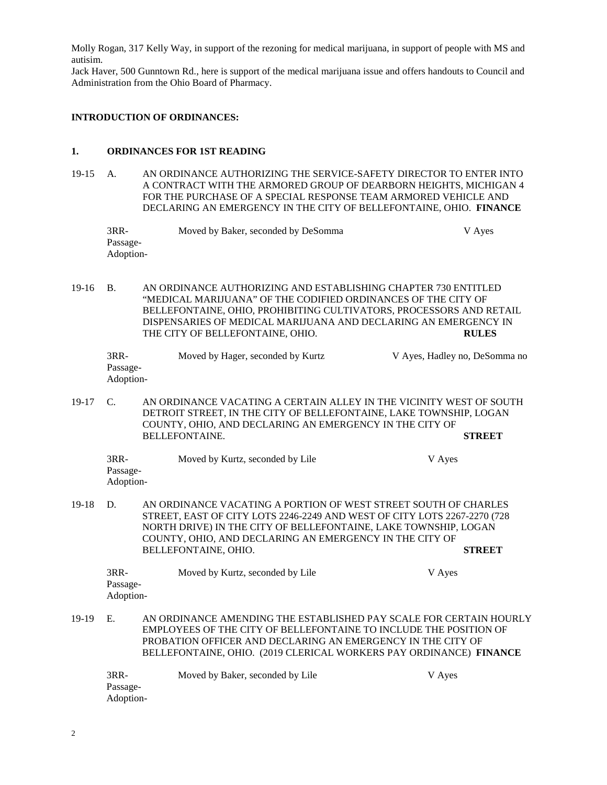Molly Rogan, 317 Kelly Way, in support of the rezoning for medical marijuana, in support of people with MS and autisim.

Jack Haver, 500 Gunntown Rd., here is support of the medical marijuana issue and offers handouts to Council and Administration from the Ohio Board of Pharmacy.

## **INTRODUCTION OF ORDINANCES:**

## **1. ORDINANCES FOR 1ST READING**

19-15 A. AN ORDINANCE AUTHORIZING THE SERVICE-SAFETY DIRECTOR TO ENTER INTO A CONTRACT WITH THE ARMORED GROUP OF DEARBORN HEIGHTS, MICHIGAN 4 FOR THE PURCHASE OF A SPECIAL RESPONSE TEAM ARMORED VEHICLE AND DECLARING AN EMERGENCY IN THE CITY OF BELLEFONTAINE, OHIO. **FINANCE**

| 3RR-      | Moved by Baker, seconded by DeSomma | V Ayes |
|-----------|-------------------------------------|--------|
| Passage-  |                                     |        |
| Adoption- |                                     |        |

19-16 B. AN ORDINANCE AUTHORIZING AND ESTABLISHING CHAPTER 730 ENTITLED "MEDICAL MARIJUANA" OF THE CODIFIED ORDINANCES OF THE CITY OF BELLEFONTAINE, OHIO, PROHIBITING CULTIVATORS, PROCESSORS AND RETAIL DISPENSARIES OF MEDICAL MARIJUANA AND DECLARING AN EMERGENCY IN THE CITY OF BELLEFONTAINE, OHIO. **RULES**

| $3RR-$    | Moved by Hager, seconded by Kurtz | V Ayes, Hadley no, DeSomma no |
|-----------|-----------------------------------|-------------------------------|
| Passage-  |                                   |                               |
| Adoption- |                                   |                               |

19-17 C. AN ORDINANCE VACATING A CERTAIN ALLEY IN THE VICINITY WEST OF SOUTH DETROIT STREET, IN THE CITY OF BELLEFONTAINE, LAKE TOWNSHIP, LOGAN COUNTY, OHIO, AND DECLARING AN EMERGENCY IN THE CITY OF BELLEFONTAINE. **STREET**

| $3RR-$    | Moved by Kurtz, seconded by Lile | V Ayes |
|-----------|----------------------------------|--------|
| Passage-  |                                  |        |
| Adoption- |                                  |        |

19-18 D. AN ORDINANCE VACATING A PORTION OF WEST STREET SOUTH OF CHARLES STREET, EAST OF CITY LOTS 2246-2249 AND WEST OF CITY LOTS 2267-2270 (728 NORTH DRIVE) IN THE CITY OF BELLEFONTAINE, LAKE TOWNSHIP, LOGAN COUNTY, OHIO, AND DECLARING AN EMERGENCY IN THE CITY OF BELLEFONTAINE, OHIO. **STREET**

| $3RR-$    | Moved by Kurtz, seconded by Lile | V Ayes |
|-----------|----------------------------------|--------|
| Passage-  |                                  |        |
| Adoption- |                                  |        |

19-19 E. AN ORDINANCE AMENDING THE ESTABLISHED PAY SCALE FOR CERTAIN HOURLY EMPLOYEES OF THE CITY OF BELLEFONTAINE TO INCLUDE THE POSITION OF PROBATION OFFICER AND DECLARING AN EMERGENCY IN THE CITY OF BELLEFONTAINE, OHIO. (2019 CLERICAL WORKERS PAY ORDINANCE) **FINANCE**

3RR- Moved by Baker, seconded by Lile V Ayes Passage-Adoption-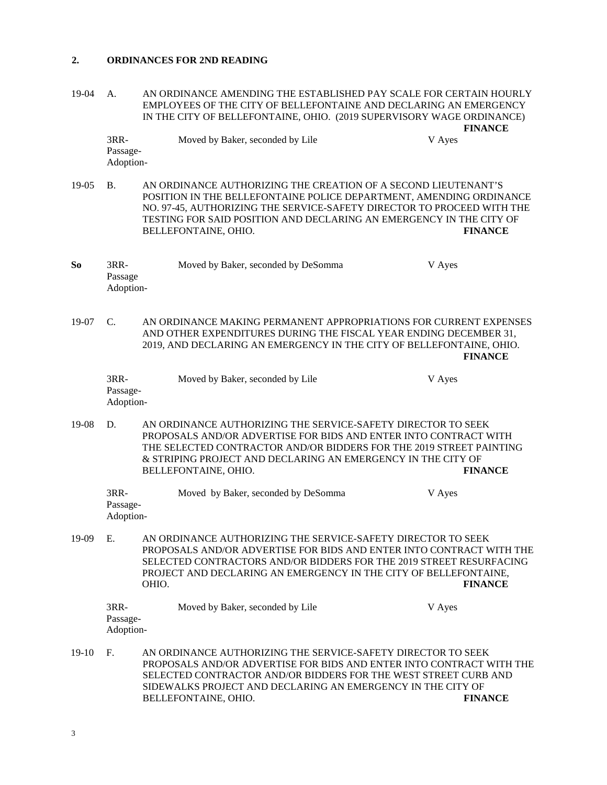### **2. ORDINANCES FOR 2ND READING**

19-04 A. AN ORDINANCE AMENDING THE ESTABLISHED PAY SCALE FOR CERTAIN HOURLY EMPLOYEES OF THE CITY OF BELLEFONTAINE AND DECLARING AN EMERGENCY IN THE CITY OF BELLEFONTAINE, OHIO. (2019 SUPERVISORY WAGE ORDINANCE) **FINANCE**

| $3RR-$    | Moved by Baker, seconded by Lile | V Ayes |
|-----------|----------------------------------|--------|
| Passage-  |                                  |        |
| Adoption- |                                  |        |

19-05 B. AN ORDINANCE AUTHORIZING THE CREATION OF A SECOND LIEUTENANT'S POSITION IN THE BELLEFONTAINE POLICE DEPARTMENT, AMENDING ORDINANCE NO. 97-45, AUTHORIZING THE SERVICE-SAFETY DIRECTOR TO PROCEED WITH THE TESTING FOR SAID POSITION AND DECLARING AN EMERGENCY IN THE CITY OF BELLEFONTAINE, OHIO. **FINANCE**

| So | 3RR-      | Moved by Baker, seconded by DeSomma | V Ayes |
|----|-----------|-------------------------------------|--------|
|    | Passage   |                                     |        |
|    | Adoption- |                                     |        |

19-07 C. AN ORDINANCE MAKING PERMANENT APPROPRIATIONS FOR CURRENT EXPENSES AND OTHER EXPENDITURES DURING THE FISCAL YEAR ENDING DECEMBER 31, 2019, AND DECLARING AN EMERGENCY IN THE CITY OF BELLEFONTAINE, OHIO. **FINANCE**

| 3RR-      | Moved by Baker, seconded by Lile | V Ayes |
|-----------|----------------------------------|--------|
| Passage-  |                                  |        |
| Adoption- |                                  |        |

19-08 D. AN ORDINANCE AUTHORIZING THE SERVICE-SAFETY DIRECTOR TO SEEK PROPOSALS AND/OR ADVERTISE FOR BIDS AND ENTER INTO CONTRACT WITH THE SELECTED CONTRACTOR AND/OR BIDDERS FOR THE 2019 STREET PAINTING & STRIPING PROJECT AND DECLARING AN EMERGENCY IN THE CITY OF BELLEFONTAINE, OHIO. **FINANCE**

| 3RR-      | Moved by Baker, seconded by DeSomma | V Ayes |
|-----------|-------------------------------------|--------|
| Passage-  |                                     |        |
| Adoption- |                                     |        |

19-09 E. AN ORDINANCE AUTHORIZING THE SERVICE-SAFETY DIRECTOR TO SEEK PROPOSALS AND/OR ADVERTISE FOR BIDS AND ENTER INTO CONTRACT WITH THE SELECTED CONTRACTORS AND/OR BIDDERS FOR THE 2019 STREET RESURFACING PROJECT AND DECLARING AN EMERGENCY IN THE CITY OF BELLEFONTAINE, OHIO. FINANCE OHIO. **FINANCE**

| $3RR-$    | Moved by Baker, seconded by Lile | V Aves |
|-----------|----------------------------------|--------|
| Passage-  |                                  |        |
| Adoption- |                                  |        |

19-10 F. AN ORDINANCE AUTHORIZING THE SERVICE-SAFETY DIRECTOR TO SEEK PROPOSALS AND/OR ADVERTISE FOR BIDS AND ENTER INTO CONTRACT WITH THE SELECTED CONTRACTOR AND/OR BIDDERS FOR THE WEST STREET CURB AND SIDEWALKS PROJECT AND DECLARING AN EMERGENCY IN THE CITY OF BELLEFONTAINE, OHIO. **FINANCE**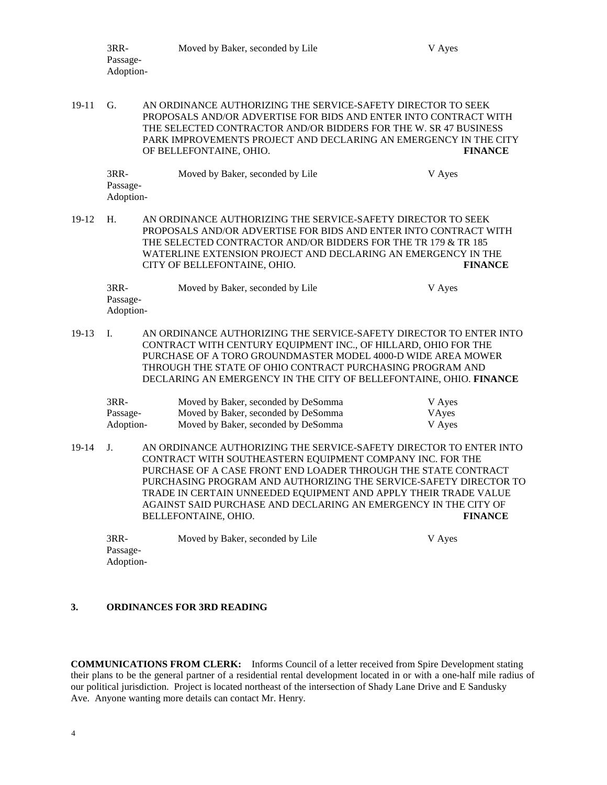|           | 3RR-<br>Passage-<br>Adoption- | Moved by Baker, seconded by Lile                                                                                                                                                                                                                                                                                                                                                                                                     | V Ayes                    |
|-----------|-------------------------------|--------------------------------------------------------------------------------------------------------------------------------------------------------------------------------------------------------------------------------------------------------------------------------------------------------------------------------------------------------------------------------------------------------------------------------------|---------------------------|
| $19 - 11$ | G.                            | AN ORDINANCE AUTHORIZING THE SERVICE-SAFETY DIRECTOR TO SEEK<br>PROPOSALS AND/OR ADVERTISE FOR BIDS AND ENTER INTO CONTRACT WITH<br>THE SELECTED CONTRACTOR AND/OR BIDDERS FOR THE W. SR 47 BUSINESS<br>PARK IMPROVEMENTS PROJECT AND DECLARING AN EMERGENCY IN THE CITY<br>OF BELLEFONTAINE, OHIO.                                                                                                                                  | <b>FINANCE</b>            |
|           | 3RR-<br>Passage-<br>Adoption- | Moved by Baker, seconded by Lile                                                                                                                                                                                                                                                                                                                                                                                                     | V Ayes                    |
| 19-12     | H.                            | AN ORDINANCE AUTHORIZING THE SERVICE-SAFETY DIRECTOR TO SEEK<br>PROPOSALS AND/OR ADVERTISE FOR BIDS AND ENTER INTO CONTRACT WITH<br>THE SELECTED CONTRACTOR AND/OR BIDDERS FOR THE TR 179 & TR 185<br>WATERLINE EXTENSION PROJECT AND DECLARING AN EMERGENCY IN THE<br>CITY OF BELLEFONTAINE, OHIO.                                                                                                                                  | <b>FINANCE</b>            |
|           | 3RR-<br>Passage-<br>Adoption- | Moved by Baker, seconded by Lile                                                                                                                                                                                                                                                                                                                                                                                                     | V Ayes                    |
| 19-13     | Ι.                            | AN ORDINANCE AUTHORIZING THE SERVICE-SAFETY DIRECTOR TO ENTER INTO<br>CONTRACT WITH CENTURY EQUIPMENT INC., OF HILLARD, OHIO FOR THE<br>PURCHASE OF A TORO GROUNDMASTER MODEL 4000-D WIDE AREA MOWER<br>THROUGH THE STATE OF OHIO CONTRACT PURCHASING PROGRAM AND<br>DECLARING AN EMERGENCY IN THE CITY OF BELLEFONTAINE, OHIO. FINANCE                                                                                              |                           |
|           | 3RR-<br>Passage-<br>Adoption- | Moved by Baker, seconded by DeSomma<br>Moved by Baker, seconded by DeSomma<br>Moved by Baker, seconded by DeSomma                                                                                                                                                                                                                                                                                                                    | V Ayes<br>VAyes<br>V Ayes |
| 19-14     | J.                            | AN ORDINANCE AUTHORIZING THE SERVICE-SAFETY DIRECTOR TO ENTER INTO<br>CONTRACT WITH SOUTHEASTERN EQUIPMENT COMPANY INC. FOR THE<br>PURCHASE OF A CASE FRONT END LOADER THROUGH THE STATE CONTRACT<br>PURCHASING PROGRAM AND AUTHORIZING THE SERVICE-SAFETY DIRECTOR TO<br>TRADE IN CERTAIN UNNEEDED EQUIPMENT AND APPLY THEIR TRADE VALUE<br>AGAINST SAID PURCHASE AND DECLARING AN EMERGENCY IN THE CITY OF<br>BELLEFONTAINE, OHIO. | <b>FINANCE</b>            |
|           | 3RR-<br>Passage-<br>Adoption- | Moved by Baker, seconded by Lile                                                                                                                                                                                                                                                                                                                                                                                                     | V Ayes                    |

# **3. ORDINANCES FOR 3RD READING**

**COMMUNICATIONS FROM CLERK:** Informs Council of a letter received from Spire Development stating their plans to be the general partner of a residential rental development located in or with a one-half mile radius of our political jurisdiction. Project is located northeast of the intersection of Shady Lane Drive and E Sandusky Ave. Anyone wanting more details can contact Mr. Henry.